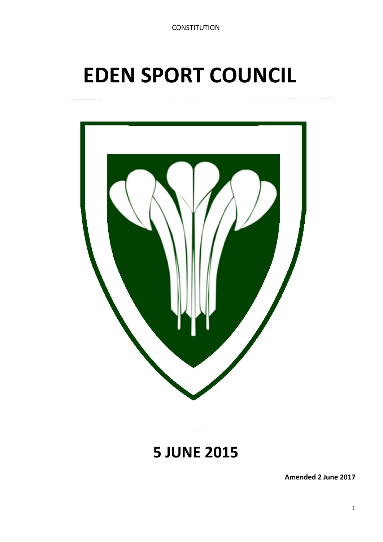# **EDEN SPORT COUNCIL**



# **5 JUNE 2015**

**Amended 2 June 2017**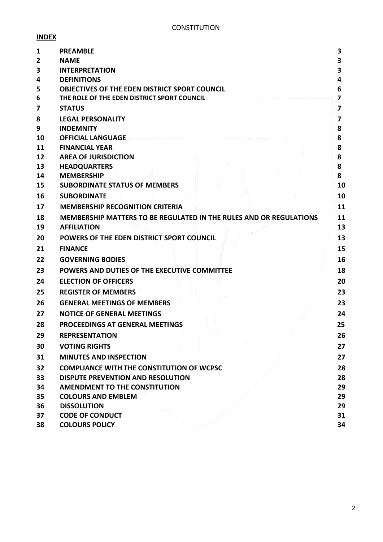# **INDEX**

| 1  | <b>PREAMBLE</b>                                                    | 3              |
|----|--------------------------------------------------------------------|----------------|
| 2  | <b>NAME</b>                                                        | 3              |
| 3  | <b>INTERPRETATION</b>                                              | 3              |
| 4  | <b>DEFINITIONS</b>                                                 | 4              |
| 5  | <b>OBJECTIVES OF THE EDEN DISTRICT SPORT COUNCIL</b>               | 6              |
| 6  | THE ROLE OF THE EDEN DISTRICT SPORT COUNCIL                        | $\overline{7}$ |
| 7  | <b>STATUS</b>                                                      | 7              |
| 8  | <b>LEGAL PERSONALITY</b>                                           | 7              |
| 9  | <b>INDEMNITY</b>                                                   | 8              |
| 10 | <b>OFFICIAL LANGUAGE</b>                                           | 8              |
| 11 | <b>FINANCIAL YEAR</b>                                              | 8              |
| 12 | <b>AREA OF JURISDICTION</b>                                        | 8              |
| 13 | <b>HEADQUARTERS</b>                                                | 8              |
| 14 | <b>MEMBERSHIP</b>                                                  | 8              |
| 15 | <b>SUBORDINATE STATUS OF MEMBERS</b>                               | 10             |
| 16 | <b>SUBORDINATE</b>                                                 | 10             |
| 17 | <b>MEMBERSHIP RECOGNITION CRITERIA</b>                             | 11             |
| 18 | MEMBERSHIP MATTERS TO BE REGULATED IN THE RULES AND OR REGULATIONS | 11             |
| 19 | <b>AFFILIATION</b>                                                 | 13             |
| 20 | POWERS OF THE EDEN DISTRICT SPORT COUNCIL                          | 13             |
| 21 | <b>FINANCE</b>                                                     | 15             |
| 22 | <b>GOVERNING BODIES</b>                                            | 16             |
| 23 | POWERS AND DUTIES OF THE EXECUTIVE COMMITTEE                       | 18             |
| 24 | <b>ELECTION OF OFFICERS</b>                                        | 20             |
| 25 | <b>REGISTER OF MEMBERS</b>                                         | 23             |
| 26 | <b>GENERAL MEETINGS OF MEMBERS</b>                                 | 23             |
| 27 | <b>NOTICE OF GENERAL MEETINGS</b>                                  | 24             |
| 28 | PROCEEDINGS AT GENERAL MEETINGS                                    | 25             |
| 29 | <b>REPRESENTATION</b>                                              | 26             |
| 30 | <b>VOTING RIGHTS</b>                                               | 27             |
| 31 | <b>MINUTES AND INSPECTION</b>                                      | 27             |
| 32 | <b>COMPLIANCE WITH THE CONSTITUTION OF WCPSC</b>                   | 28             |
| 33 | DISPUTE PREVENTION AND RESOLUTION                                  | 28             |
| 34 | <b>AMENDMENT TO THE CONSTITUTION</b>                               | 29             |
| 35 | <b>COLOURS AND EMBLEM</b>                                          | 29             |
| 36 | <b>DISSOLUTION</b>                                                 | 29             |
| 37 | <b>CODE OF CONDUCT</b>                                             | 31             |
| 38 | <b>COLOURS POLICY</b>                                              | 34             |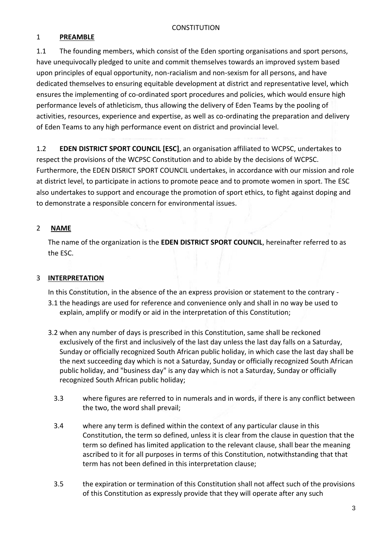# 1 **PREAMBLE**

1.1 The founding members, which consist of the Eden sporting organisations and sport persons, have unequivocally pledged to unite and commit themselves towards an improved system based upon principles of equal opportunity, non-racialism and non-sexism for all persons, and have dedicated themselves to ensuring equitable development at district and representative level, which ensures the implementing of co-ordinated sport procedures and policies, which would ensure high performance levels of athleticism, thus allowing the delivery of Eden Teams by the pooling of activities, resources, experience and expertise, as well as co-ordinating the preparation and delivery of Eden Teams to any high performance event on district and provincial level.

1.2 **EDEN DISTRICT SPORT COUNCIL [ESC]**, an organisation affiliated to WCPSC, undertakes to respect the provisions of the WCPSC Constitution and to abide by the decisions of WCPSC. Furthermore, the EDEN DISRICT SPORT COUNCIL undertakes, in accordance with our mission and role at district level, to participate in actions to promote peace and to promote women in sport. The ESC also undertakes to support and encourage the promotion of sport ethics, to fight against doping and to demonstrate a responsible concern for environmental issues.

# 2 **NAME**

The name of the organization is the **EDEN DISTRICT SPORT COUNCIL**, hereinafter referred to as the ESC.

# 3 **INTERPRETATION**

In this Constitution, in the absence of the an express provision or statement to the contrary -

- 3.1 the headings are used for reference and convenience only and shall in no way be used to explain, amplify or modify or aid in the interpretation of this Constitution;
- 3.2 when any number of days is prescribed in this Constitution, same shall be reckoned exclusively of the first and inclusively of the last day unless the last day falls on a Saturday, Sunday or officially recognized South African public holiday, in which case the last day shall be the next succeeding day which is not a Saturday, Sunday or officially recognized South African public holiday, and "business day" is any day which is not a Saturday, Sunday or officially recognized South African public holiday;
	- 3.3 where figures are referred to in numerals and in words, if there is any conflict between the two, the word shall prevail;
	- 3.4 where any term is defined within the context of any particular clause in this Constitution, the term so defined, unless it is clear from the clause in question that the term so defined has limited application to the relevant clause, shall bear the meaning ascribed to it for all purposes in terms of this Constitution, notwithstanding that that term has not been defined in this interpretation clause;
	- 3.5 the expiration or termination of this Constitution shall not affect such of the provisions of this Constitution as expressly provide that they will operate after any such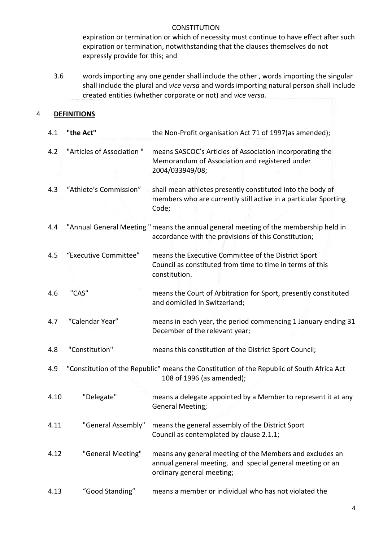expiration or termination or which of necessity must continue to have effect after such expiration or termination, notwithstanding that the clauses themselves do not expressly provide for this; and

3.6 words importing any one gender shall include the other , words importing the singular shall include the plural and *vice versa* and words importing natural person shall include created entities (whether corporate or not) and *vice versa.*

#### 4 **DEFINITIONS**

| 4.1  | "the Act"                 | the Non-Profit organisation Act 71 of 1997(as amended);                                                                                            |  |  |
|------|---------------------------|----------------------------------------------------------------------------------------------------------------------------------------------------|--|--|
| 4.2  | "Articles of Association" | means SASCOC's Articles of Association incorporating the<br>Memorandum of Association and registered under<br>2004/033949/08;                      |  |  |
| 4.3  | "Athlete's Commission"    | shall mean athletes presently constituted into the body of<br>members who are currently still active in a particular Sporting<br>Code;             |  |  |
| 4.4  |                           | "Annual General Meeting " means the annual general meeting of the membership held in<br>accordance with the provisions of this Constitution;       |  |  |
| 4.5  | "Executive Committee"     | means the Executive Committee of the District Sport<br>Council as constituted from time to time in terms of this<br>constitution.                  |  |  |
| 4.6  | "CAS"                     | means the Court of Arbitration for Sport, presently constituted<br>and domiciled in Switzerland;                                                   |  |  |
| 4.7  | "Calendar Year"           | means in each year, the period commencing 1 January ending 31<br>December of the relevant year;                                                    |  |  |
| 4.8  | "Constitution"            | means this constitution of the District Sport Council;                                                                                             |  |  |
| 4.9  |                           | "Constitution of the Republic" means the Constitution of the Republic of South Africa Act<br>108 of 1996 (as amended);                             |  |  |
| 4.10 | "Delegate"                | means a delegate appointed by a Member to represent it at any<br>General Meeting;                                                                  |  |  |
| 4.11 | "General Assembly"        | means the general assembly of the District Sport<br>Council as contemplated by clause 2.1.1;                                                       |  |  |
| 4.12 | "General Meeting"         | means any general meeting of the Members and excludes an<br>annual general meeting, and special general meeting or an<br>ordinary general meeting; |  |  |
| 4.13 | "Good Standing"           | means a member or individual who has not violated the                                                                                              |  |  |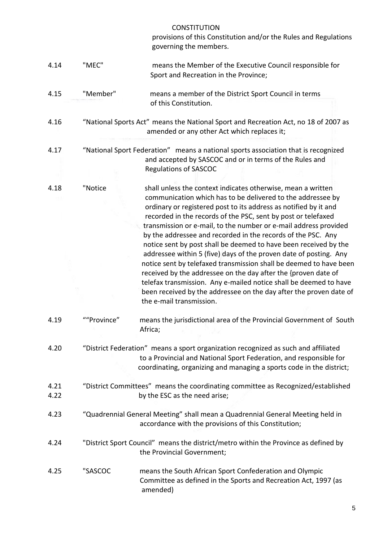provisions of this Constitution and/or the Rules and Regulations governing the members.

- 4.14 "MEC" means the Member of the Executive Council responsible for Sport and Recreation in the Province;
- 4.15 "Member" means a member of the District Sport Council in terms of this Constitution.
- 4.16 "National Sports Act" means the National Sport and Recreation Act, no 18 of 2007 as amended or any other Act which replaces it;
- 4.17 "National Sport Federation" means a national sports association that is recognized and accepted by SASCOC and or in terms of the Rules and Regulations of SASCOC
- 4.18 "Notice shall unless the context indicates otherwise, mean a written communication which has to be delivered to the addressee by ordinary or registered post to its address as notified by it and recorded in the records of the PSC, sent by post or telefaxed transmission or e-mail, to the number or e-mail address provided by the addressee and recorded in the records of the PSC. Any notice sent by post shall be deemed to have been received by the addressee within 5 (five) days of the proven date of posting. Any notice sent by telefaxed transmission shall be deemed to have been received by the addressee on the day after the {proven date of telefax transmission. Any e-mailed notice shall be deemed to have been received by the addressee on the day after the proven date of the e-mail transmission.
- 4.19 ""Province" means the jurisdictional area of the Provincial Government of South Africa;
- 4.20 "District Federation" means a sport organization recognized as such and affiliated to a Provincial and National Sport Federation, and responsible for coordinating, organizing and managing a sports code in the district;
- 4.21 "District Committees" means the coordinating committee as Recognized/established 4.22 by the ESC as the need arise;
- 4.23 "Quadrennial General Meeting" shall mean a Quadrennial General Meeting held in accordance with the provisions of this Constitution;
- 4.24 "District Sport Council" means the district/metro within the Province as defined by the Provincial Government;
- 4.25 "SASCOC means the South African Sport Confederation and Olympic Committee as defined in the Sports and Recreation Act, 1997 (as amended)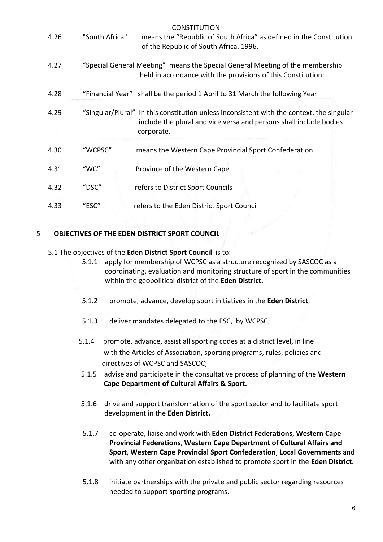| 4.26 | "South Africa" | <b>CONSTITUTION</b><br>means the "Republic of South Africa" as defined in the Constitution<br>of the Republic of South Africa, 1996.                                          |
|------|----------------|-------------------------------------------------------------------------------------------------------------------------------------------------------------------------------|
| 4.27 |                | "Special General Meeting" means the Special General Meeting of the membership<br>held in accordance with the provisions of this Constitution;                                 |
| 4.28 |                | "Financial Year" shall be the period 1 April to 31 March the following Year                                                                                                   |
| 4.29 |                | "Singular/Plural" In this constitution unless inconsistent with the context, the singular<br>include the plural and vice versa and persons shall include bodies<br>corporate. |
| 4.30 | "WCPSC"        | means the Western Cape Provincial Sport Confederation                                                                                                                         |
| 4.31 | "WC"           | Province of the Western Cape                                                                                                                                                  |
| 4.32 | "DSC"          | refers to District Sport Councils                                                                                                                                             |
| 4.33 | "ESC"          | refers to the Eden District Sport Council                                                                                                                                     |

# 5 **OBJECTIVES OF THE EDEN DISTRICT SPORT COUNCIL**

- 5.1 The objectives of the **Eden District Sport Council** is to:
	- 5.1.1 apply for membership of WCPSC as a structure recognized by SASCOC as a coordinating, evaluation and monitoring structure of sport in the communities within the geopolitical district of the **Eden District.**
	- 5.1.2 promote, advance, develop sport initiatives in the **Eden District**;
	- 5.1.3 deliver mandates delegated to the ESC, by WCPSC;
	- 5.1.4 promote, advance, assist all sporting codes at a district level, in line with the Articles of Association, sporting programs, rules, policies and directives of WCPSC and SASCOC;
	- 5.1.5 advise and participate in the consultative process of planning of the **Western Cape Department of Cultural Affairs & Sport.**
	- 5.1.6 drive and support transformation of the sport sector and to facilitate sport development in the **Eden District.**
	- 5.1.7 co-operate, liaise and work with **Eden District Federations**, **Western Cape Provincial Federations**, **Western Cape Department of Cultural Affairs and Sport**, **Western Cape Provincial Sport Confederation**, **Local Governments** and with any other organization established to promote sport in the **Eden District**.
	- 5.1.8 initiate partnerships with the private and public sector regarding resources needed to support sporting programs.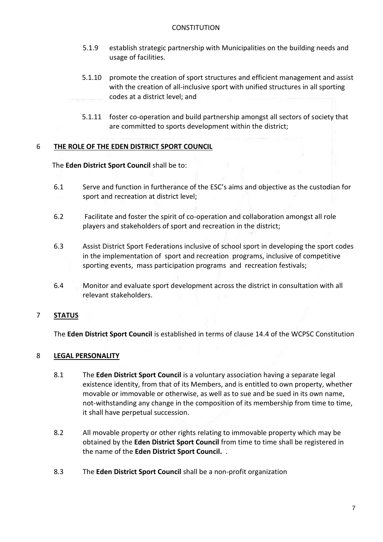- 5.1.9 establish strategic partnership with Municipalities on the building needs and usage of facilities.
- 5.1.10 promote the creation of sport structures and efficient management and assist with the creation of all-inclusive sport with unified structures in all sporting codes at a district level; and
- 5.1.11 foster co-operation and build partnership amongst all sectors of society that are committed to sports development within the district;

# 6 **THE ROLE OF THE EDEN DISTRICT SPORT COUNCIL**

The **Eden District Sport Council** shall be to:

- 6.1 Serve and function in furtherance of the ESC's aims and objective as the custodian for sport and recreation at district level;
- 6.2 Facilitate and foster the spirit of co-operation and collaboration amongst all role players and stakeholders of sport and recreation in the district;
- 6.3 Assist District Sport Federations inclusive of school sport in developing the sport codes in the implementation of sport and recreation programs, inclusive of competitive sporting events, mass participation programs and recreation festivals;
- 6.4 Monitor and evaluate sport development across the district in consultation with all relevant stakeholders.

# 7 **STATUS**

The **Eden District Sport Council** is established in terms of clause 14.4 of the WCPSC Constitution

# 8 **LEGAL PERSONALITY**

- 8.1 The **Eden District Sport Council** is a voluntary association having a separate legal existence identity, from that of its Members, and is entitled to own property, whether movable or immovable or otherwise, as well as to sue and be sued in its own name, not-withstanding any change in the composition of its membership from time to time, it shall have perpetual succession.
- 8.2 All movable property or other rights relating to immovable property which may be obtained by the **Eden District Sport Council** from time to time shall be registered in the name of the **Eden District Sport Council.** .
- 8.3 The **Eden District Sport Council** shall be a non-profit organization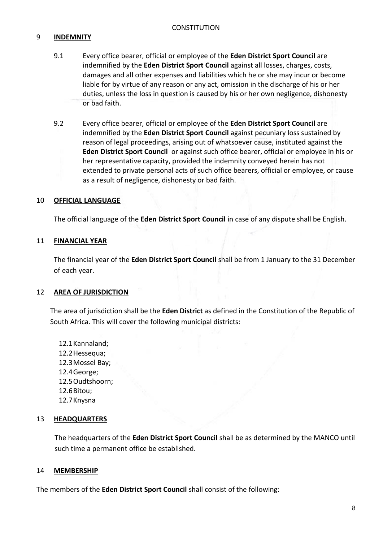# 9 **INDEMNITY**

- 9.1 Every office bearer, official or employee of the **Eden District Sport Council** are indemnified by the **Eden District Sport Council** against all losses, charges, costs, damages and all other expenses and liabilities which he or she may incur or become liable for by virtue of any reason or any act, omission in the discharge of his or her duties, unless the loss in question is caused by his or her own negligence, dishonesty or bad faith.
- 9.2 Every office bearer, official or employee of the **Eden District Sport Council** are indemnified by the **Eden District Sport Council** against pecuniary loss sustained by reason of legal proceedings, arising out of whatsoever cause, instituted against the **Eden District Sport Council** or against such office bearer, official or employee in his or her representative capacity, provided the indemnity conveyed herein has not extended to private personal acts of such office bearers, official or employee, or cause as a result of negligence, dishonesty or bad faith.

#### 10 **OFFICIAL LANGUAGE**

The official language of the **Eden District Sport Council** in case of any dispute shall be English.

#### 11 **FINANCIAL YEAR**

The financial year of the **Eden District Sport Council** shall be from 1 January to the 31 December of each year.

#### 12 **AREA OF JURISDICTION**

The area of jurisdiction shall be the **Eden District** as defined in the Constitution of the Republic of South Africa. This will cover the following municipal districts:

12.1Kannaland; 12.2Hessequa; 12.3Mossel Bay; 12.4George; 12.5Oudtshoorn; 12.6Bitou; 12.7Knysna

#### 13 **HEADQUARTERS**

The headquarters of the **Eden District Sport Council** shall be as determined by the MANCO until such time a permanent office be established.

#### 14 **MEMBERSHIP**

The members of the **Eden District Sport Council** shall consist of the following: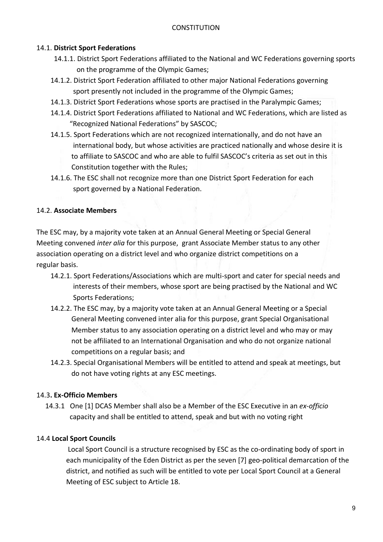# 14.1. **District Sport Federations**

- 14.1.1. District Sport Federations affiliated to the National and WC Federations governing sports on the programme of the Olympic Games;
- 14.1.2. District Sport Federation affiliated to other major National Federations governing sport presently not included in the programme of the Olympic Games;
- 14.1.3. District Sport Federations whose sports are practised in the Paralympic Games;
- 14.1.4. District Sport Federations affiliated to National and WC Federations, which are listed as "Recognized National Federations" by SASCOC;
- 14.1.5. Sport Federations which are not recognized internationally, and do not have an international body, but whose activities are practiced nationally and whose desire it is to affiliate to SASCOC and who are able to fulfil SASCOC's criteria as set out in this Constitution together with the Rules;
- 14.1.6. The ESC shall not recognize more than one District Sport Federation for each sport governed by a National Federation.

# 14.2. **Associate Members**

The ESC may, by a majority vote taken at an Annual General Meeting or Special General Meeting convened *inter alia* for this purpose, grant Associate Member status to any other association operating on a district level and who organize district competitions on a regular basis.

- 14.2.1. Sport Federations/Associations which are multi-sport and cater for special needs and interests of their members, whose sport are being practised by the National and WC Sports Federations;
- 14.2.2. The ESC may, by a majority vote taken at an Annual General Meeting or a Special General Meeting convened inter alia for this purpose, grant Special Organisational Member status to any association operating on a district level and who may or may not be affiliated to an International Organisation and who do not organize national competitions on a regular basis; and
- 14.2.3. Special Organisational Members will be entitled to attend and speak at meetings, but do not have voting rights at any ESC meetings.

# 14.3**. Ex-Officio Members**

 14.3.1 One [1] DCAS Member shall also be a Member of the ESC Executive in an *ex-officio* capacity and shall be entitled to attend, speak and but with no voting right

# 14.4 **Local Sport Councils**

 Local Sport Council is a structure recognised by ESC as the co-ordinating body of sport in each municipality of the Eden District as per the seven [7] geo-political demarcation of the district, and notified as such will be entitled to vote per Local Sport Council at a General Meeting of ESC subject to Article 18.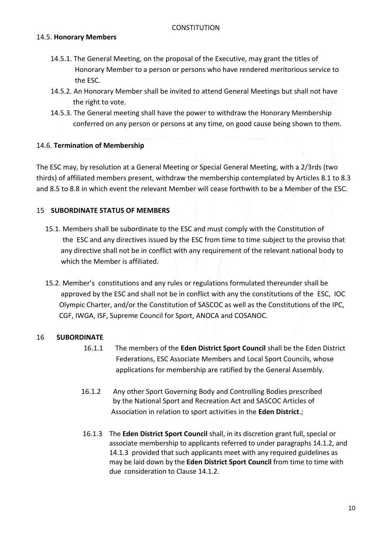#### 14.5. **Honorary Members**

- 14.5.1. The General Meeting, on the proposal of the Executive, may grant the titles of Honorary Member to a person or persons who have rendered meritorious service to the ESC.
- 14.5.2. An Honorary Member shall be invited to attend General Meetings but shall not have the right to vote.
- 14.5.3. The General meeting shall have the power to withdraw the Honorary Membership conferred on any person or persons at any time, on good cause being shown to them.

# 14.6. **Termination of Membership**

The ESC may, by resolution at a General Meeting or Special General Meeting, with a 2/3rds (two thirds) of affiliated members present, withdraw the membership contemplated by Articles 8.1 to 8.3 and 8.5 to 8.8 in which event the relevant Member will cease forthwith to be a Member of the ESC.

# 15 **SUBORDINATE STATUS OF MEMBERS**

- 15.1. Members shall be subordinate to the ESC and must comply with the Constitution of the ESC and any directives issued by the ESC from time to time subject to the proviso that any directive shall not be in conflict with any requirement of the relevant national body to which the Member is affiliated.
- 15.2. Member's constitutions and any rules or regulations formulated thereunder shall be approved by the ESC and shall not be in conflict with any the constitutions of the ESC, IOC Olympic Charter, and/or the Constitution of SASCOC as well as the Constitutions of the IPC, CGF, IWGA, ISF, Supreme Council for Sport, ANOCA and COSANOC.

# 16 **SUBORDINATE**

- 16.1.1 The members of the **Eden District Sport Council** shall be the Eden District Federations, ESC Associate Members and Local Sport Councils, whose applications for membership are ratified by the General Assembly.
- 16.1.2 Any other Sport Governing Body and Controlling Bodies prescribed by the National Sport and Recreation Act and SASCOC Articles of Association in relation to sport activities in the **Eden District**.;
- 16.1.3 The **Eden District Sport Council** shall, in its discretion grant full, special or associate membership to applicants referred to under paragraphs 14.1.2, and 14.1.3 provided that such applicants meet with any required guidelines as may be laid down by the **Eden District Sport Council** from time to time with due consideration to Clause 14.1.2.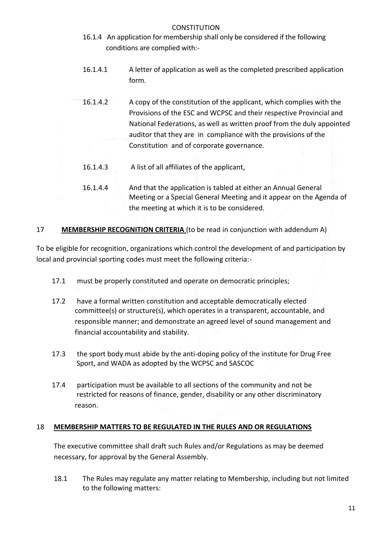- 16.1.4 An application for membership shall only be considered if the following conditions are complied with:-
- 16.1.4.1 A letter of application as well as the completed prescribed application form.
- 16.1.4.2 A copy of the constitution of the applicant, which complies with the Provisions of the ESC and WCPSC and their respective Provincial and National Federations, as well as written proof from the duly appointed auditor that they are in compliance with the provisions of the Constitution and of corporate governance.
	- 16.1.4.3 A list of all affiliates of the applicant,
	- 16.1.4.4 And that the application is tabled at either an Annual General Meeting or a Special General Meeting and it appear on the Agenda of the meeting at which it is to be considered.

# 17 **MEMBERSHIP RECOGNITION CRITERIA** (to be read in conjunction with addendum A)

To be eligible for recognition, organizations which control the development of and participation by local and provincial sporting codes must meet the following criteria:-

- 17.1 must be properly constituted and operate on democratic principles;
- 17.2 have a formal written constitution and acceptable democratically elected committee(s) or structure(s), which operates in a transparent, accountable, and responsible manner; and demonstrate an agreed level of sound management and financial accountability and stability.
- 17.3 the sport body must abide by the anti-doping policy of the institute for Drug Free Sport, and WADA as adopted by the WCPSC and SASCOC
- 17.4 participation must be available to all sections of the community and not be restricted for reasons of finance, gender, disability or any other discriminatory reason.

# 18 **MEMBERSHIP MATTERS TO BE REGULATED IN THE RULES AND OR REGULATIONS**

The executive committee shall draft such Rules and/or Regulations as may be deemed necessary, for approval by the General Assembly.

18.1 The Rules may regulate any matter relating to Membership, including but not limited to the following matters: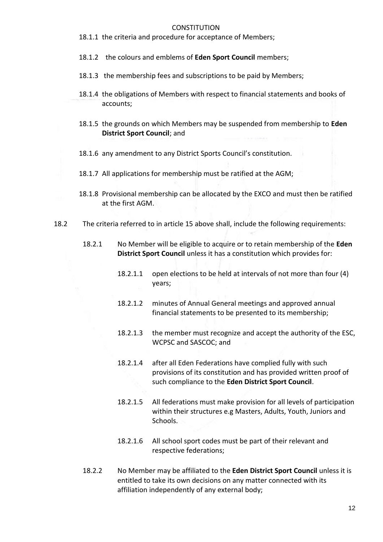- 18.1.1 the criteria and procedure for acceptance of Members;
- 18.1.2 the colours and emblems of **Eden Sport Council** members;
- 18.1.3 the membership fees and subscriptions to be paid by Members;
- 18.1.4 the obligations of Members with respect to financial statements and books of accounts;
- 18.1.5 the grounds on which Members may be suspended from membership to **Eden District Sport Council**; and
- 18.1.6 any amendment to any District Sports Council's constitution.
- 18.1.7 All applications for membership must be ratified at the AGM;
- 18.1.8 Provisional membership can be allocated by the EXCO and must then be ratified at the first AGM.
- 18.2 The criteria referred to in article 15 above shall, include the following requirements:
	- 18.2.1 No Member will be eligible to acquire or to retain membership of the **Eden District Sport Council** unless it has a constitution which provides for:
		- 18.2.1.1 open elections to be held at intervals of not more than four (4) years;
		- 18.2.1.2 minutes of Annual General meetings and approved annual financial statements to be presented to its membership;
		- 18.2.1.3 the member must recognize and accept the authority of the ESC, WCPSC and SASCOC; and
		- 18.2.1.4 after all Eden Federations have complied fully with such provisions of its constitution and has provided written proof of such compliance to the **Eden District Sport Council**.
		- 18.2.1.5 All federations must make provision for all levels of participation within their structures e.g Masters, Adults, Youth, Juniors and Schools.
		- 18.2.1.6 All school sport codes must be part of their relevant and respective federations;
	- 18.2.2 No Member may be affiliated to the **Eden District Sport Council** unless it is entitled to take its own decisions on any matter connected with its affiliation independently of any external body;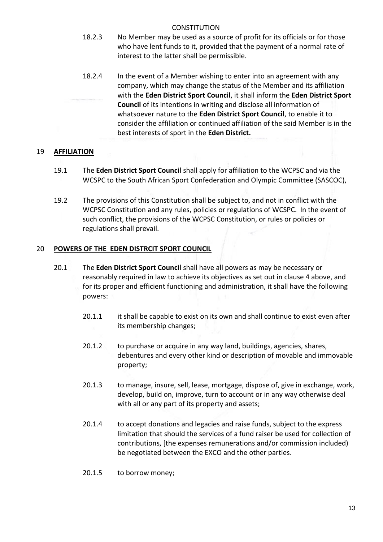- 18.2.3 No Member may be used as a source of profit for its officials or for those who have lent funds to it, provided that the payment of a normal rate of interest to the latter shall be permissible.
- 18.2.4 In the event of a Member wishing to enter into an agreement with any company, which may change the status of the Member and its affiliation with the **Eden District Sport Council**, it shall inform the **Eden District Sport Council** of its intentions in writing and disclose all information of whatsoever nature to the **Eden District Sport Council**, to enable it to consider the affiliation or continued affiliation of the said Member is in the best interests of sport in the **Eden District.**

# 19 **AFFILIATION**

- 19.1 The **Eden District Sport Council** shall apply for affiliation to the WCPSC and via the WCSPC to the South African Sport Confederation and Olympic Committee (SASCOC),
- 19.2 The provisions of this Constitution shall be subject to, and not in conflict with the WCPSC Constitution and any rules, policies or regulations of WCSPC. In the event of such conflict, the provisions of the WCPSC Constitution, or rules or policies or regulations shall prevail.

# 20 **POWERS OF THE EDEN DISTRCIT SPORT COUNCIL**

- 20.1 The **Eden District Sport Council** shall have all powers as may be necessary or reasonably required in law to achieve its objectives as set out in clause 4 above, and for its proper and efficient functioning and administration, it shall have the following powers:
	- 20.1.1 it shall be capable to exist on its own and shall continue to exist even after its membership changes;
	- 20.1.2 to purchase or acquire in any way land, buildings, agencies, shares, debentures and every other kind or description of movable and immovable property;
	- 20.1.3 to manage, insure, sell, lease, mortgage, dispose of, give in exchange, work, develop, build on, improve, turn to account or in any way otherwise deal with all or any part of its property and assets;
	- 20.1.4 to accept donations and legacies and raise funds, subject to the express limitation that should the services of a fund raiser be used for collection of contributions, [the expenses remunerations and/or commission included) be negotiated between the EXCO and the other parties.
	- 20.1.5 to borrow money;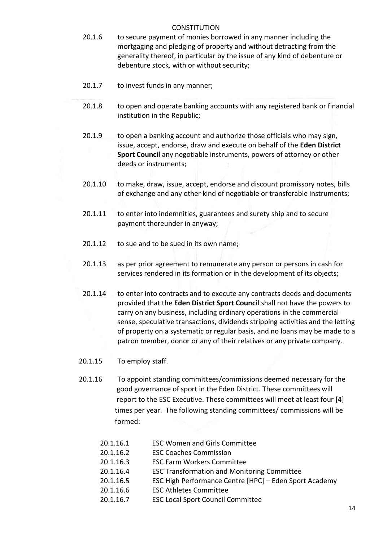- 20.1.6 to secure payment of monies borrowed in any manner including the mortgaging and pledging of property and without detracting from the generality thereof, in particular by the issue of any kind of debenture or debenture stock, with or without security;
- 20.1.7 to invest funds in any manner;
- 20.1.8 to open and operate banking accounts with any registered bank or financial institution in the Republic;
- 20.1.9 to open a banking account and authorize those officials who may sign, issue, accept, endorse, draw and execute on behalf of the **Eden District Sport Council** any negotiable instruments, powers of attorney or other deeds or instruments;
- 20.1.10 to make, draw, issue, accept, endorse and discount promissory notes, bills of exchange and any other kind of negotiable or transferable instruments;
- 20.1.11 to enter into indemnities, guarantees and surety ship and to secure payment thereunder in anyway;
- 20.1.12 to sue and to be sued in its own name;
- 20.1.13 as per prior agreement to remunerate any person or persons in cash for services rendered in its formation or in the development of its objects;
- 20.1.14 to enter into contracts and to execute any contracts deeds and documents provided that the **Eden District Sport Council** shall not have the powers to carry on any business, including ordinary operations in the commercial sense, speculative transactions, dividends stripping activities and the letting of property on a systematic or regular basis, and no loans may be made to a patron member, donor or any of their relatives or any private company.
- 20.1.15 To employ staff.
- 20.1.16 To appoint standing committees/commissions deemed necessary for the good governance of sport in the Eden District. These committees will report to the ESC Executive. These committees will meet at least four [4] times per year. The following standing committees/ commissions will be formed:
	- 20.1.16.1 ESC Women and Girls Committee
	- 20.1.16.2 ESC Coaches Commission
	- 20.1.16.3 ESC Farm Workers Committee
	- 20.1.16.4 ESC Transformation and Monitoring Committee
	- 20.1.16.5 ESC High Performance Centre [HPC] Eden Sport Academy
	- 20.1.16.6 ESC Athletes Committee
	- 20.1.16.7 ESC Local Sport Council Committee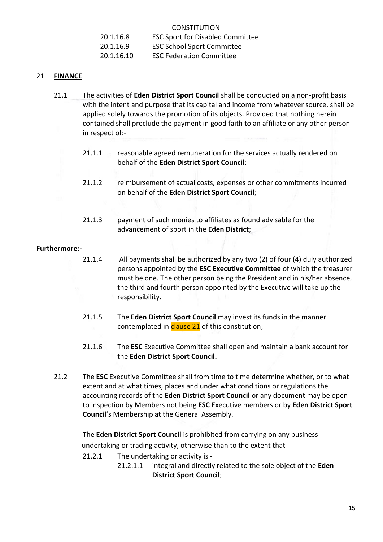20.1.16.8 ESC Sport for Disabled Committee

20.1.16.9 ESC School Sport Committee

20.1.16.10 ESC Federation Committee

#### 21 **FINANCE**

- 21.1 The activities of **Eden District Sport Council** shall be conducted on a non-profit basis with the intent and purpose that its capital and income from whatever source, shall be applied solely towards the promotion of its objects. Provided that nothing herein contained shall preclude the payment in good faith to an affiliate or any other person in respect of:-
	- 21.1.1 reasonable agreed remuneration for the services actually rendered on behalf of the **Eden District Sport Council**;
	- 21.1.2 reimbursement of actual costs, expenses or other commitments incurred on behalf of the **Eden District Sport Council**;
	- 21.1.3 payment of such monies to affiliates as found advisable for the advancement of sport in the **Eden District**;

#### **Furthermore:-**

- 21.1.4 All payments shall be authorized by any two (2) of four (4) duly authorized persons appointed by the **ESC Executive Committee** of which the treasurer must be one. The other person being the President and in his/her absence, the third and fourth person appointed by the Executive will take up the responsibility.
- 21.1.5 The **Eden District Sport Council** may invest its funds in the manner contemplated in **clause 21** of this constitution;
- 21.1.6 The **ESC** Executive Committee shall open and maintain a bank account for the **Eden District Sport Council.**
- 21.2 The **ESC** Executive Committee shall from time to time determine whether, or to what extent and at what times, places and under what conditions or regulations the accounting records of the **Eden District Sport Council** or any document may be open to inspection by Members not being **ESC** Executive members or by **Eden District Sport Council**'s Membership at the General Assembly.

The **Eden District Sport Council** is prohibited from carrying on any business undertaking or trading activity, otherwise than to the extent that -

- 21.2.1 The undertaking or activity is
	- 21.2.1.1 integral and directly related to the sole object of the **Eden District Sport Council**;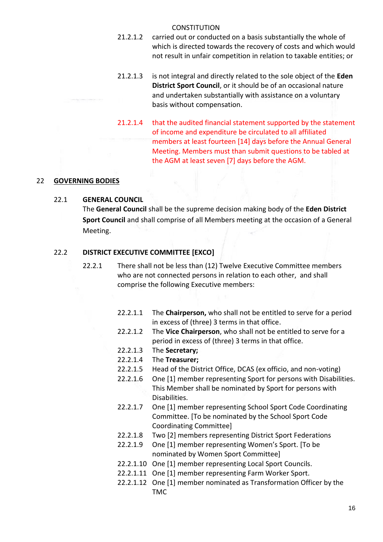- 21.2.1.2 carried out or conducted on a basis substantially the whole of which is directed towards the recovery of costs and which would not result in unfair competition in relation to taxable entities; or
- 21.2.1.3 is not integral and directly related to the sole object of the **Eden District Sport Council**, or it should be of an occasional nature and undertaken substantially with assistance on a voluntary basis without compensation.
- 21.2.1.4 that the audited financial statement supported by the statement of income and expenditure be circulated to all affiliated members at least fourteen [14] days before the Annual General Meeting. Members must than submit questions to be tabled at the AGM at least seven [7] days before the AGM.

#### 22 **GOVERNING BODIES**

#### 22.1 **GENERAL COUNCIL**

The **General Council** shall be the supreme decision making body of the **Eden District Sport Council** and shall comprise of all Members meeting at the occasion of a General Meeting.

#### 22.2 **DISTRICT EXECUTIVE COMMITTEE [EXCO]**

- 22.2.1 There shall not be less than (12) Twelve Executive Committee members who are not connected persons in relation to each other, and shall comprise the following Executive members:
	- 22.2.1.1 The **Chairperson,** who shall not be entitled to serve for a period in excess of (three) 3 terms in that office.
	- 22.2.1.2 The **Vice Chairperson**, who shall not be entitled to serve for a period in excess of (three) 3 terms in that office.
	- 22.2.1.3 The **Secretary;**
	- 22.2.1.4 The **Treasurer;**
	- 22.2.1.5 Head of the District Office, DCAS (ex officio, and non-voting)
	- 22.2.1.6 One [1] member representing Sport for persons with Disabilities. This Member shall be nominated by Sport for persons with Disabilities.
	- 22.2.1.7 One [1] member representing School Sport Code Coordinating Committee. [To be nominated by the School Sport Code Coordinating Committee]
	- 22.2.1.8 Two [2] members representing District Sport Federations
	- 22.2.1.9 One [1] member representing Women's Sport. [To be nominated by Women Sport Committee]
	- 22.2.1.10 One [1] member representing Local Sport Councils.
	- 22.2.1.11 One [1] member representing Farm Worker Sport.
	- 22.2.1.12 One [1] member nominated as Transformation Officer by the TMC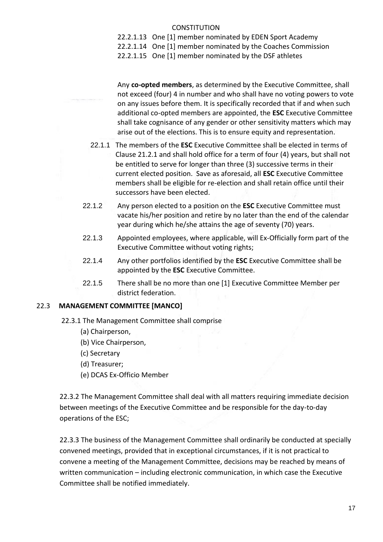- 22.2.1.13 One [1] member nominated by EDEN Sport Academy
- 22.2.1.14 One [1] member nominated by the Coaches Commission
- 22.2.1.15 One [1] member nominated by the DSF athletes

Any **co-opted members**, as determined by the Executive Committee, shall not exceed (four) 4 in number and who shall have no voting powers to vote on any issues before them. It is specifically recorded that if and when such additional co-opted members are appointed, the **ESC** Executive Committee shall take cognisance of any gender or other sensitivity matters which may arise out of the elections. This is to ensure equity and representation.

- 22.1.1 The members of the **ESC** Executive Committee shall be elected in terms of Clause 21.2.1 and shall hold office for a term of four (4) years, but shall not be entitled to serve for longer than three (3) successive terms in their current elected position. Save as aforesaid, all **ESC** Executive Committee members shall be eligible for re-election and shall retain office until their successors have been elected.
- 22.1.2 Any person elected to a position on the **ESC** Executive Committee must vacate his/her position and retire by no later than the end of the calendar year during which he/she attains the age of seventy (70) years.
- 22.1.3 Appointed employees, where applicable, will Ex-Officially form part of the Executive Committee without voting rights;
- 22.1.4 Any other portfolios identified by the **ESC** Executive Committee shall be appointed by the **ESC** Executive Committee.
- 22.1.5 There shall be no more than one [1] Executive Committee Member per district federation.

# 22.3 **MANAGEMENT COMMITTEE [MANCO]**

- 22.3.1 The Management Committee shall comprise
	- (a) Chairperson,
	- (b) Vice Chairperson,
	- (c) Secretary
	- (d) Treasurer;
	- (e) DCAS Ex-Officio Member

22.3.2 The Management Committee shall deal with all matters requiring immediate decision between meetings of the Executive Committee and be responsible for the day-to-day operations of the ESC;

22.3.3 The business of the Management Committee shall ordinarily be conducted at specially convened meetings, provided that in exceptional circumstances, if it is not practical to convene a meeting of the Management Committee, decisions may be reached by means of written communication – including electronic communication, in which case the Executive Committee shall be notified immediately.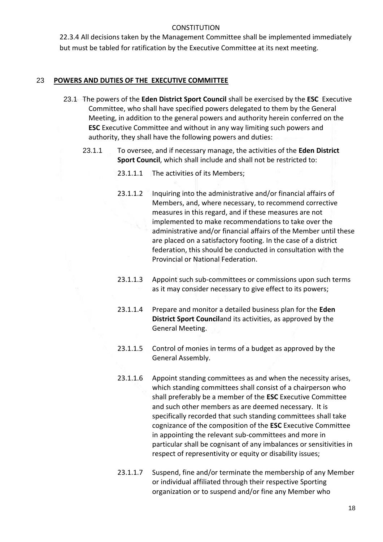22.3.4 All decisions taken by the Management Committee shall be implemented immediately but must be tabled for ratification by the Executive Committee at its next meeting.

#### 23 **POWERS AND DUTIES OF THE EXECUTIVE COMMITTEE**

- 23.1 The powers of the **Eden District Sport Council** shall be exercised by the **ESC** Executive Committee, who shall have specified powers delegated to them by the General Meeting, in addition to the general powers and authority herein conferred on the **ESC** Executive Committee and without in any way limiting such powers and authority, they shall have the following powers and duties:
	- 23.1.1 To oversee, and if necessary manage, the activities of the **Eden District Sport Council**, which shall include and shall not be restricted to:
		- 23.1.1.1 The activities of its Members;
		- 23.1.1.2 Inquiring into the administrative and/or financial affairs of Members, and, where necessary, to recommend corrective measures in this regard, and if these measures are not implemented to make recommendations to take over the administrative and/or financial affairs of the Member until these are placed on a satisfactory footing. In the case of a district federation, this should be conducted in consultation with the Provincial or National Federation.
		- 23.1.1.3 Appoint such sub-committees or commissions upon such terms as it may consider necessary to give effect to its powers;
		- 23.1.1.4 Prepare and monitor a detailed business plan for the **Eden District Sport Council**and its activities, as approved by the General Meeting.
		- 23.1.1.5 Control of monies in terms of a budget as approved by the General Assembly.
		- 23.1.1.6 Appoint standing committees as and when the necessity arises, which standing committees shall consist of a chairperson who shall preferably be a member of the **ESC** Executive Committee and such other members as are deemed necessary. It is specifically recorded that such standing committees shall take cognizance of the composition of the **ESC** Executive Committee in appointing the relevant sub-committees and more in particular shall be cognisant of any imbalances or sensitivities in respect of representivity or equity or disability issues;
		- 23.1.1.7 Suspend, fine and/or terminate the membership of any Member or individual affiliated through their respective Sporting organization or to suspend and/or fine any Member who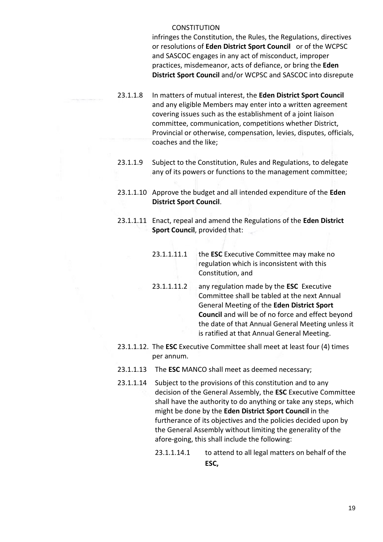infringes the Constitution, the Rules, the Regulations, directives or resolutions of **Eden District Sport Council** or of the WCPSC and SASCOC engages in any act of misconduct, improper practices, misdemeanor, acts of defiance, or bring the **Eden District Sport Council** and/or WCPSC and SASCOC into disrepute

- 23.1.1.8 In matters of mutual interest, the **Eden District Sport Council** and any eligible Members may enter into a written agreement covering issues such as the establishment of a joint liaison committee, communication, competitions whether District, Provincial or otherwise, compensation, levies, disputes, officials, coaches and the like;
- 23.1.1.9 Subject to the Constitution, Rules and Regulations, to delegate any of its powers or functions to the management committee;
- 23.1.1.10 Approve the budget and all intended expenditure of the **Eden District Sport Council**.
- 23.1.1.11 Enact, repeal and amend the Regulations of the **Eden District Sport Council**, provided that:
	- 23.1.1.11.1 the **ESC** Executive Committee may make no regulation which is inconsistent with this Constitution, and
	- 23.1.1.11.2 any regulation made by the **ESC** Executive Committee shall be tabled at the next Annual General Meeting of the **Eden District Sport Council** and will be of no force and effect beyond the date of that Annual General Meeting unless it is ratified at that Annual General Meeting.
- 23.1.1.12. The **ESC** Executive Committee shall meet at least four (4) times per annum.
- 23.1.1.13 The **ESC** MANCO shall meet as deemed necessary;
- 23.1.1.14 Subject to the provisions of this constitution and to any decision of the General Assembly, the **ESC** Executive Committee shall have the authority to do anything or take any steps, which might be done by the **Eden District Sport Council** in the furtherance of its objectives and the policies decided upon by the General Assembly without limiting the generality of the afore-going, this shall include the following:
	- 23.1.1.14.1 to attend to all legal matters on behalf of the **ESC,**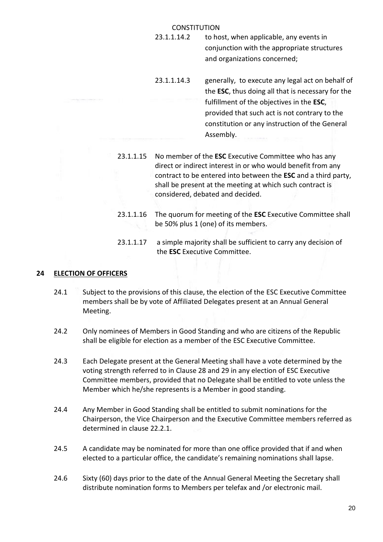- 23.1.1.14.2 to host, when applicable, any events in conjunction with the appropriate structures and organizations concerned;
- 23.1.1.14.3 generally, to execute any legal act on behalf of the **ESC**, thus doing all that is necessary for the fulfillment of the objectives in the **ESC**, provided that such act is not contrary to the constitution or any instruction of the General Assembly.
- 23.1.1.15 No member of the **ESC** Executive Committee who has any direct or indirect interest in or who would benefit from any contract to be entered into between the **ESC** and a third party, shall be present at the meeting at which such contract is considered, debated and decided.
- 23.1.1.16 The quorum for meeting of the **ESC** Executive Committee shall be 50% plus 1 (one) of its members.
- 23.1.1.17 a simple majority shall be sufficient to carry any decision of the **ESC** Executive Committee.

#### **24 ELECTION OF OFFICERS**

- 24.1 Subject to the provisions of this clause, the election of the ESC Executive Committee members shall be by vote of Affiliated Delegates present at an Annual General Meeting.
- 24.2 Only nominees of Members in Good Standing and who are citizens of the Republic shall be eligible for election as a member of the ESC Executive Committee.
- 24.3 Each Delegate present at the General Meeting shall have a vote determined by the voting strength referred to in Clause 28 and 29 in any election of ESC Executive Committee members, provided that no Delegate shall be entitled to vote unless the Member which he/she represents is a Member in good standing.
- 24.4 Any Member in Good Standing shall be entitled to submit nominations for the Chairperson, the Vice Chairperson and the Executive Committee members referred as determined in clause 22.2.1.
- 24.5 A candidate may be nominated for more than one office provided that if and when elected to a particular office, the candidate's remaining nominations shall lapse.
- 24.6 Sixty (60) days prior to the date of the Annual General Meeting the Secretary shall distribute nomination forms to Members per telefax and /or electronic mail.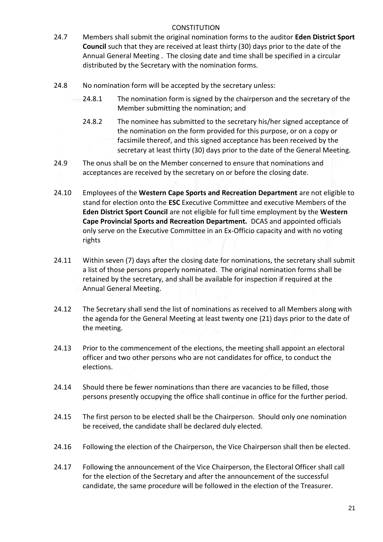- 24.7 Members shall submit the original nomination forms to the auditor **Eden District Sport Council** such that they are received at least thirty (30) days prior to the date of the Annual General Meeting . The closing date and time shall be specified in a circular distributed by the Secretary with the nomination forms.
- 24.8 No nomination form will be accepted by the secretary unless:
	- 24.8.1 The nomination form is signed by the chairperson and the secretary of the Member submitting the nomination; and
	- 24.8.2 The nominee has submitted to the secretary his/her signed acceptance of the nomination on the form provided for this purpose, or on a copy or facsimile thereof, and this signed acceptance has been received by the secretary at least thirty (30) days prior to the date of the General Meeting.
- 24.9 The onus shall be on the Member concerned to ensure that nominations and acceptances are received by the secretary on or before the closing date.
- 24.10 Employees of the **Western Cape Sports and Recreation Department** are not eligible to stand for election onto the **ESC** Executive Committee and executive Members of the **Eden District Sport Council** are not eligible for full time employment by the **Western Cape Provincial Sports and Recreation Department.** DCAS and appointed officials only serve on the Executive Committee in an Ex-Officio capacity and with no voting rights
- 24.11 Within seven (7) days after the closing date for nominations, the secretary shall submit a list of those persons properly nominated. The original nomination forms shall be retained by the secretary, and shall be available for inspection if required at the Annual General Meeting.
- 24.12 The Secretary shall send the list of nominations as received to all Members along with the agenda for the General Meeting at least twenty one (21) days prior to the date of the meeting.
- 24.13 Prior to the commencement of the elections, the meeting shall appoint an electoral officer and two other persons who are not candidates for office, to conduct the elections.
- 24.14 Should there be fewer nominations than there are vacancies to be filled, those persons presently occupying the office shall continue in office for the further period.
- 24.15 The first person to be elected shall be the Chairperson. Should only one nomination be received, the candidate shall be declared duly elected.
- 24.16 Following the election of the Chairperson, the Vice Chairperson shall then be elected.
- 24.17 Following the announcement of the Vice Chairperson, the Electoral Officer shall call for the election of the Secretary and after the announcement of the successful candidate, the same procedure will be followed in the election of the Treasurer.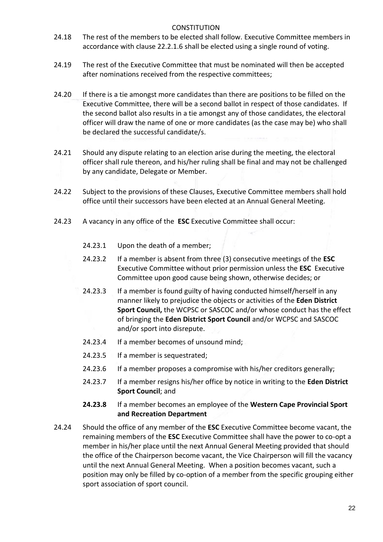- 24.18 The rest of the members to be elected shall follow. Executive Committee members in accordance with clause 22.2.1.6 shall be elected using a single round of voting.
- 24.19 The rest of the Executive Committee that must be nominated will then be accepted after nominations received from the respective committees;
- 24.20 If there is a tie amongst more candidates than there are positions to be filled on the Executive Committee, there will be a second ballot in respect of those candidates. If the second ballot also results in a tie amongst any of those candidates, the electoral officer will draw the name of one or more candidates (as the case may be) who shall be declared the successful candidate/s.
- 24.21 Should any dispute relating to an election arise during the meeting, the electoral officer shall rule thereon, and his/her ruling shall be final and may not be challenged by any candidate, Delegate or Member.
- 24.22 Subject to the provisions of these Clauses, Executive Committee members shall hold office until their successors have been elected at an Annual General Meeting.
- 24.23 A vacancy in any office of the **ESC** Executive Committee shall occur:
	- 24.23.1 Upon the death of a member;
	- 24.23.2 If a member is absent from three (3) consecutive meetings of the **ESC**  Executive Committee without prior permission unless the **ESC** Executive Committee upon good cause being shown, otherwise decides; or
	- 24.23.3 If a member is found guilty of having conducted himself/herself in any manner likely to prejudice the objects or activities of the **Eden District Sport Council,** the WCPSC or SASCOC and/or whose conduct has the effect of bringing the **Eden District Sport Council** and/or WCPSC and SASCOC and/or sport into disrepute.
	- 24.23.4 If a member becomes of unsound mind;
	- 24.23.5 If a member is sequestrated;
	- 24.23.6 If a member proposes a compromise with his/her creditors generally;
	- 24.23.7 If a member resigns his/her office by notice in writing to the **Eden District Sport Council**; and
	- **24.23.8** If a member becomes an employee of the **Western Cape Provincial Sport and Recreation Department**
- 24.24 Should the office of any member of the **ESC** Executive Committee become vacant, the remaining members of the **ESC** Executive Committee shall have the power to co-opt a member in his/her place until the next Annual General Meeting provided that should the office of the Chairperson become vacant, the Vice Chairperson will fill the vacancy until the next Annual General Meeting. When a position becomes vacant, such a position may only be filled by co-option of a member from the specific grouping either sport association of sport council.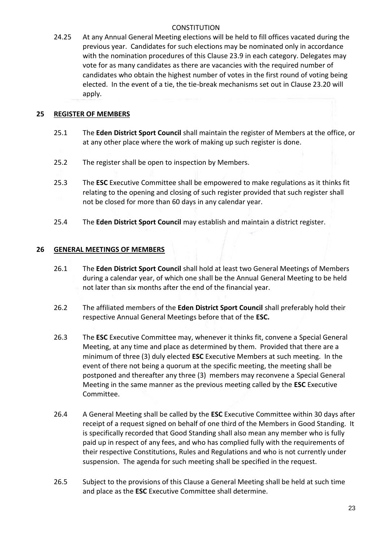24.25 At any Annual General Meeting elections will be held to fill offices vacated during the previous year. Candidates for such elections may be nominated only in accordance with the nomination procedures of this Clause 23.9 in each category. Delegates may vote for as many candidates as there are vacancies with the required number of candidates who obtain the highest number of votes in the first round of voting being elected. In the event of a tie, the tie-break mechanisms set out in Clause 23.20 will apply.

# **25 REGISTER OF MEMBERS**

- 25.1 The **Eden District Sport Council** shall maintain the register of Members at the office, or at any other place where the work of making up such register is done.
- 25.2 The register shall be open to inspection by Members.
- 25.3 The **ESC** Executive Committee shall be empowered to make regulations as it thinks fit relating to the opening and closing of such register provided that such register shall not be closed for more than 60 days in any calendar year.
- 25.4 The **Eden District Sport Council** may establish and maintain a district register.

# **26 GENERAL MEETINGS OF MEMBERS**

- 26.1 The **Eden District Sport Council** shall hold at least two General Meetings of Members during a calendar year, of which one shall be the Annual General Meeting to be held not later than six months after the end of the financial year.
- 26.2 The affiliated members of the **Eden District Sport Council** shall preferably hold their respective Annual General Meetings before that of the **ESC.**
- 26.3 The **ESC** Executive Committee may, whenever it thinks fit, convene a Special General Meeting, at any time and place as determined by them. Provided that there are a minimum of three (3) duly elected **ESC** Executive Members at such meeting. In the event of there not being a quorum at the specific meeting, the meeting shall be postponed and thereafter any three (3) members may reconvene a Special General Meeting in the same manner as the previous meeting called by the **ESC** Executive Committee.
- 26.4 A General Meeting shall be called by the **ESC** Executive Committee within 30 days after receipt of a request signed on behalf of one third of the Members in Good Standing. It is specifically recorded that Good Standing shall also mean any member who is fully paid up in respect of any fees, and who has complied fully with the requirements of their respective Constitutions, Rules and Regulations and who is not currently under suspension. The agenda for such meeting shall be specified in the request.
- 26.5 Subject to the provisions of this Clause a General Meeting shall be held at such time and place as the **ESC** Executive Committee shall determine.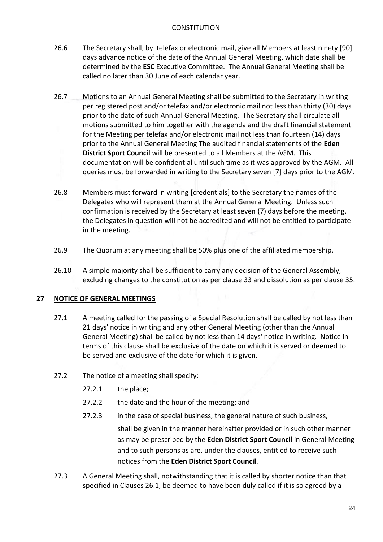- 26.6 The Secretary shall, by telefax or electronic mail, give all Members at least ninety [90] days advance notice of the date of the Annual General Meeting, which date shall be determined by the **ESC** Executive Committee. The Annual General Meeting shall be called no later than 30 June of each calendar year.
- 26.7 Motions to an Annual General Meeting shall be submitted to the Secretary in writing per registered post and/or telefax and/or electronic mail not less than thirty (30) days prior to the date of such Annual General Meeting. The Secretary shall circulate all motions submitted to him together with the agenda and the draft financial statement for the Meeting per telefax and/or electronic mail not less than fourteen (14) days prior to the Annual General Meeting The audited financial statements of the **Eden District Sport Council** will be presented to all Members at the AGM. This documentation will be confidential until such time as it was approved by the AGM. All queries must be forwarded in writing to the Secretary seven [7] days prior to the AGM.
- 26.8 Members must forward in writing [credentials] to the Secretary the names of the Delegates who will represent them at the Annual General Meeting. Unless such confirmation is received by the Secretary at least seven (7) days before the meeting, the Delegates in question will not be accredited and will not be entitled to participate in the meeting.
- 26.9 The Quorum at any meeting shall be 50% plus one of the affiliated membership.
- 26.10 A simple majority shall be sufficient to carry any decision of the General Assembly, excluding changes to the constitution as per clause 33 and dissolution as per clause 35.

# **27 NOTICE OF GENERAL MEETINGS**

- 27.1 A meeting called for the passing of a Special Resolution shall be called by not less than 21 days' notice in writing and any other General Meeting (other than the Annual General Meeting) shall be called by not less than 14 days' notice in writing. Notice in terms of this clause shall be exclusive of the date on which it is served or deemed to be served and exclusive of the date for which it is given.
- 27.2 The notice of a meeting shall specify:
	- 27.2.1 the place;
	- 27.2.2 the date and the hour of the meeting; and
	- 27.2.3 in the case of special business, the general nature of such business,

 shall be given in the manner hereinafter provided or in such other manner as may be prescribed by the **Eden District Sport Council** in General Meeting and to such persons as are, under the clauses, entitled to receive such notices from the **Eden District Sport Council**.

27.3 A General Meeting shall, notwithstanding that it is called by shorter notice than that specified in Clauses 26.1, be deemed to have been duly called if it is so agreed by a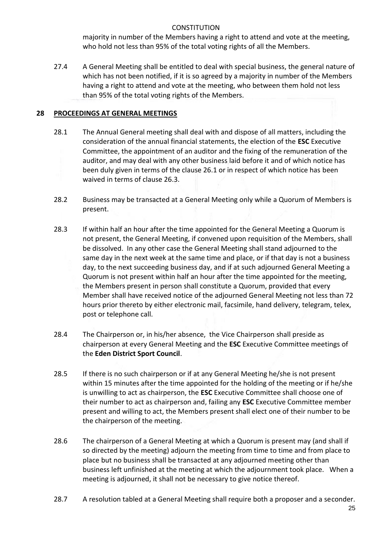majority in number of the Members having a right to attend and vote at the meeting, who hold not less than 95% of the total voting rights of all the Members.

27.4 A General Meeting shall be entitled to deal with special business, the general nature of which has not been notified, if it is so agreed by a majority in number of the Members having a right to attend and vote at the meeting, who between them hold not less than 95% of the total voting rights of the Members.

# **28 PROCEEDINGS AT GENERAL MEETINGS**

- 28.1 The Annual General meeting shall deal with and dispose of all matters, including the consideration of the annual financial statements, the election of the **ESC** Executive Committee, the appointment of an auditor and the fixing of the remuneration of the auditor, and may deal with any other business laid before it and of which notice has been duly given in terms of the clause 26.1 or in respect of which notice has been waived in terms of clause 26.3.
- 28.2 Business may be transacted at a General Meeting only while a Quorum of Members is present.
- 28.3 If within half an hour after the time appointed for the General Meeting a Quorum is not present, the General Meeting, if convened upon requisition of the Members, shall be dissolved. In any other case the General Meeting shall stand adjourned to the same day in the next week at the same time and place, or if that day is not a business day, to the next succeeding business day, and if at such adjourned General Meeting a Quorum is not present within half an hour after the time appointed for the meeting, the Members present in person shall constitute a Quorum, provided that every Member shall have received notice of the adjourned General Meeting not less than 72 hours prior thereto by either electronic mail, facsimile, hand delivery, telegram, telex, post or telephone call.
- 28.4 The Chairperson or, in his/her absence, the Vice Chairperson shall preside as chairperson at every General Meeting and the **ESC** Executive Committee meetings of the **Eden District Sport Council**.
- 28.5 If there is no such chairperson or if at any General Meeting he/she is not present within 15 minutes after the time appointed for the holding of the meeting or if he/she is unwilling to act as chairperson, the **ESC** Executive Committee shall choose one of their number to act as chairperson and, failing any **ESC** Executive Committee member present and willing to act, the Members present shall elect one of their number to be the chairperson of the meeting.
- 28.6 The chairperson of a General Meeting at which a Quorum is present may (and shall if so directed by the meeting) adjourn the meeting from time to time and from place to place but no business shall be transacted at any adjourned meeting other than business left unfinished at the meeting at which the adjournment took place. When a meeting is adjourned, it shall not be necessary to give notice thereof.
- 28.7 A resolution tabled at a General Meeting shall require both a proposer and a seconder.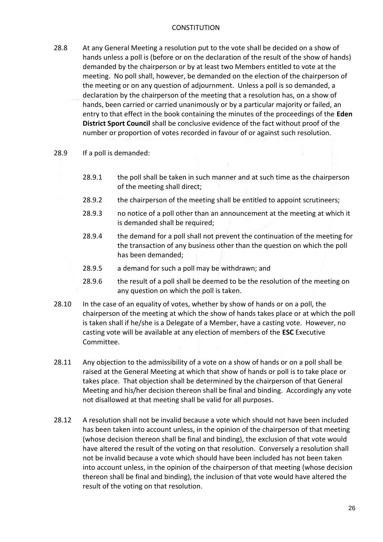- 28.8 At any General Meeting a resolution put to the vote shall be decided on a show of hands unless a poll is (before or on the declaration of the result of the show of hands) demanded by the chairperson or by at least two Members entitled to vote at the meeting. No poll shall, however, be demanded on the election of the chairperson of the meeting or on any question of adjournment. Unless a poll is so demanded, a declaration by the chairperson of the meeting that a resolution has, on a show of hands, been carried or carried unanimously or by a particular majority or failed, an entry to that effect in the book containing the minutes of the proceedings of the **Eden District Sport Council** shall be conclusive evidence of the fact without proof of the number or proportion of votes recorded in favour of or against such resolution.
- 28.9 If a poll is demanded:
	- 28.9.1 the poll shall be taken in such manner and at such time as the chairperson of the meeting shall direct;
	- 28.9.2 the chairperson of the meeting shall be entitled to appoint scrutineers;
	- 28.9.3 no notice of a poll other than an announcement at the meeting at which it is demanded shall be required;
	- 28.9.4 the demand for a poll shall not prevent the continuation of the meeting for the transaction of any business other than the question on which the poll has been demanded;
	- 28.9.5 a demand for such a poll may be withdrawn; and
	- 28.9.6 the result of a poll shall be deemed to be the resolution of the meeting on any question on which the poll is taken.
- 28.10 In the case of an equality of votes, whether by show of hands or on a poll, the chairperson of the meeting at which the show of hands takes place or at which the poll is taken shall if he/she is a Delegate of a Member, have a casting vote. However, no casting vote will be available at any election of members of the **ESC** Executive Committee.
- 28.11 Any objection to the admissibility of a vote on a show of hands or on a poll shall be raised at the General Meeting at which that show of hands or poll is to take place or takes place. That objection shall be determined by the chairperson of that General Meeting and his/her decision thereon shall be final and binding. Accordingly any vote not disallowed at that meeting shall be valid for all purposes.
- 28.12 A resolution shall not be invalid because a vote which should not have been included has been taken into account unless, in the opinion of the chairperson of that meeting (whose decision thereon shall be final and binding), the exclusion of that vote would have altered the result of the voting on that resolution. Conversely a resolution shall not be invalid because a vote which should have been included has not been taken into account unless, in the opinion of the chairperson of that meeting (whose decision thereon shall be final and binding), the inclusion of that vote would have altered the result of the voting on that resolution.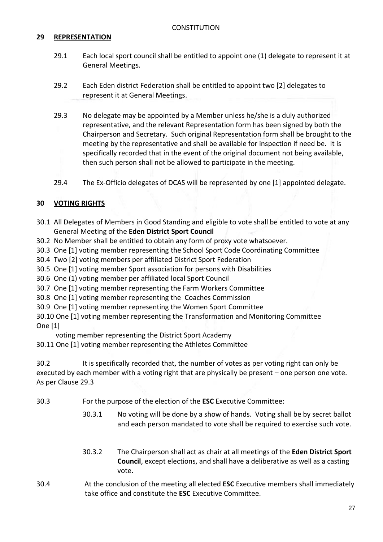# **29 REPRESENTATION**

- 29.1 Each local sport council shall be entitled to appoint one (1) delegate to represent it at General Meetings.
- 29.2 Each Eden district Federation shall be entitled to appoint two [2] delegates to represent it at General Meetings.
- 29.3 No delegate may be appointed by a Member unless he/she is a duly authorized representative, and the relevant Representation form has been signed by both the Chairperson and Secretary. Such original Representation form shall be brought to the meeting by the representative and shall be available for inspection if need be. It is specifically recorded that in the event of the original document not being available, then such person shall not be allowed to participate in the meeting.
- 29.4 The Ex-Officio delegates of DCAS will be represented by one [1] appointed delegate.

#### **30 VOTING RIGHTS**

- 30.1 All Delegates of Members in Good Standing and eligible to vote shall be entitled to vote at any General Meeting of the **Eden District Sport Council**
- 30.2 No Member shall be entitled to obtain any form of proxy vote whatsoever.
- 30.3 One [1] voting member representing the School Sport Code Coordinating Committee
- 30.4 Two [2] voting members per affiliated District Sport Federation
- 30.5 One [1] voting member Sport association for persons with Disabilities
- 30.6 One (1) voting member per affiliated local Sport Council
- 30.7 One [1] voting member representing the Farm Workers Committee
- 30.8 One [1] voting member representing the Coaches Commission
- 30.9 One [1] voting member representing the Women Sport Committee
- 30.10 One [1] voting member representing the Transformation and Monitoring Committee One [1]

voting member representing the District Sport Academy

30.11 One [1] voting member representing the Athletes Committee

30.2 It is specifically recorded that, the number of votes as per voting right can only be executed by each member with a voting right that are physically be present – one person one vote. As per Clause 29.3

- 30.3 For the purpose of the election of the **ESC** Executive Committee:
	- 30.3.1 No voting will be done by a show of hands. Voting shall be by secret ballot and each person mandated to vote shall be required to exercise such vote.
	- 30.3.2 The Chairperson shall act as chair at all meetings of the **Eden District Sport Council**, except elections, and shall have a deliberative as well as a casting vote.
- 30.4 At the conclusion of the meeting all elected **ESC** Executive members shall immediately take office and constitute the **ESC** Executive Committee.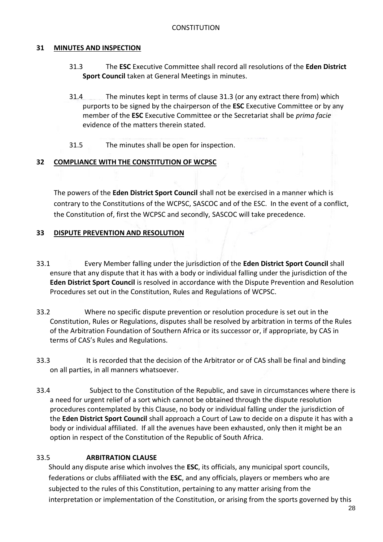# <span id="page-27-0"></span>**31 MINUTES AND INSPECTION**

- 31.3 The **ESC** Executive Committee shall record all resolutions of the **Eden District Sport Council** taken at General Meetings in minutes.
- 31.4 The minutes kept in terms of clause [31.3](#page-27-0) (or any extract there from) which purports to be signed by the chairperson of the **ESC** Executive Committee or by any member of the **ESC** Executive Committee or the Secretariat shall be *prima facie* evidence of the matters therein stated.
- 31.5 The minutes shall be open for inspection.

#### **32 COMPLIANCE WITH THE CONSTITUTION OF WCPSC**

The powers of the **Eden District Sport Council** shall not be exercised in a manner which is contrary to the Constitutions of the WCPSC, SASCOC and of the ESC. In the event of a conflict, the Constitution of, first the WCPSC and secondly, SASCOC will take precedence.

#### **33 DISPUTE PREVENTION AND RESOLUTION**

- 33.1 Every Member falling under the jurisdiction of the **Eden District Sport Council** shall ensure that any dispute that it has with a body or individual falling under the jurisdiction of the **Eden District Sport Council** is resolved in accordance with the Dispute Prevention and Resolution Procedures set out in the Constitution, Rules and Regulations of WCPSC.
- 33.2 Where no specific dispute prevention or resolution procedure is set out in the Constitution, Rules or Regulations, disputes shall be resolved by arbitration in terms of the Rules of the Arbitration Foundation of Southern Africa or its successor or, if appropriate, by CAS in terms of CAS's Rules and Regulations.
- 33.3 It is recorded that the decision of the Arbitrator or of CAS shall be final and binding on all parties, in all manners whatsoever.
- 33.4 Subject to the Constitution of the Republic, and save in circumstances where there is a need for urgent relief of a sort which cannot be obtained through the dispute resolution procedures contemplated by this Clause, no body or individual falling under the jurisdiction of the **Eden District Sport Council** shall approach a Court of Law to decide on a dispute it has with a body or individual affiliated. If all the avenues have been exhausted, only then it might be an option in respect of the Constitution of the Republic of South Africa.

# 33.5 **ARBITRATION CLAUSE**

 Should any dispute arise which involves the **ESC**, its officials, any municipal sport councils, federations or clubs affiliated with the **ESC**, and any officials, players or members who are subjected to the rules of this Constitution, pertaining to any matter arising from the interpretation or implementation of the Constitution, or arising from the sports governed by this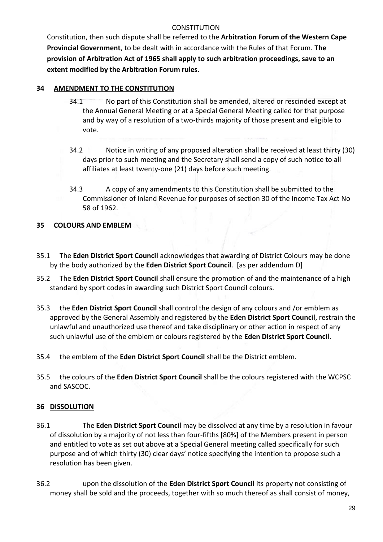Constitution, then such dispute shall be referred to the **Arbitration Forum of the Western Cape Provincial Government**, to be dealt with in accordance with the Rules of that Forum. **The provision of Arbitration Act of 1965 shall apply to such arbitration proceedings, save to an extent modified by the Arbitration Forum rules.**

# **34 AMENDMENT TO THE CONSTITUTION**

- 34.1 No part of this Constitution shall be amended, altered or rescinded except at the Annual General Meeting or at a Special General Meeting called for that purpose and by way of a resolution of a two-thirds majority of those present and eligible to vote.
- 34.2 Notice in writing of any proposed alteration shall be received at least thirty (30) days prior to such meeting and the Secretary shall send a copy of such notice to all affiliates at least twenty-one (21) days before such meeting.
- 34.3 A copy of any amendments to this Constitution shall be submitted to the Commissioner of Inland Revenue for purposes of section 30 of the Income Tax Act No 58 of 1962.

# **35 COLOURS AND EMBLEM**

- 35.1 The **Eden District Sport Council** acknowledges that awarding of District Colours may be done by the body authorized by the **Eden District Sport Council**. [as per addendum D]
- 35.2 The **Eden District Sport Council** shall ensure the promotion of and the maintenance of a high standard by sport codes in awarding such District Sport Council colours.
- 35.3 the **Eden District Sport Council** shall control the design of any colours and /or emblem as approved by the General Assembly and registered by the **Eden District Sport Council**, restrain the unlawful and unauthorized use thereof and take disciplinary or other action in respect of any such unlawful use of the emblem or colours registered by the **Eden District Sport Council**.
- 35.4 the emblem of the **Eden District Sport Council** shall be the District emblem.
- 35.5 the colours of the **Eden District Sport Council** shall be the colours registered with the WCPSC and SASCOC.

# **36 DISSOLUTION**

- 36.1 The **Eden District Sport Council** may be dissolved at any time by a resolution in favour of dissolution by a majority of not less than four-fifths [80%] of the Members present in person and entitled to vote as set out above at a Special General meeting called specifically for such purpose and of which thirty (30) clear days' notice specifying the intention to propose such a resolution has been given.
- 36.2 upon the dissolution of the **Eden District Sport Council** its property not consisting of money shall be sold and the proceeds, together with so much thereof as shall consist of money,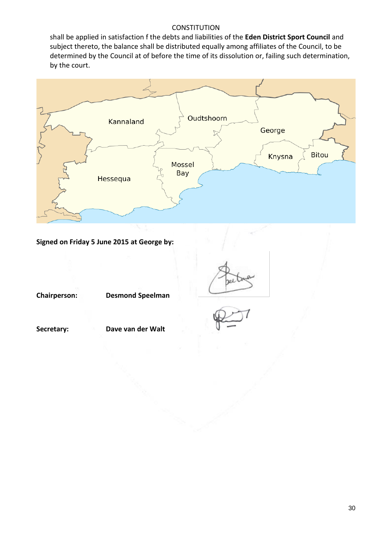shall be applied in satisfaction f the debts and liabilities of the **Eden District Sport Council** and subject thereto, the balance shall be distributed equally among affiliates of the Council, to be determined by the Council at of before the time of its dissolution or, failing such determination, by the court.



**Signed on Friday 5 June 2015 at George by:**

**Chairperson: Desmond Speelman**

**Secretary: Dave van der Walt**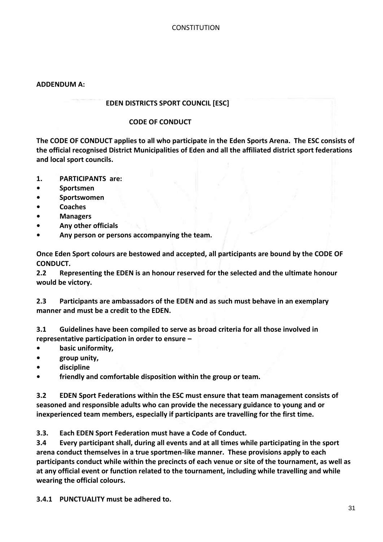#### **ADDENDUM A:**

#### **EDEN DISTRICTS SPORT COUNCIL [ESC]**

#### **CODE OF CONDUCT**

**The CODE OF CONDUCT applies to all who participate in the Eden Sports Arena. The ESC consists of the official recognised District Municipalities of Eden and all the affiliated district sport federations and local sport councils.**

- **1. PARTICIPANTS are:**
- **• Sportsmen**
- **• Sportswomen**
- **• Coaches**
- **• Managers**
- **• Any other officials**
- **• Any person or persons accompanying the team.**

**Once Eden Sport colours are bestowed and accepted, all participants are bound by the CODE OF CONDUCT.**

**2.2 Representing the EDEN is an honour reserved for the selected and the ultimate honour would be victory.** 

**2.3 Participants are ambassadors of the EDEN and as such must behave in an exemplary manner and must be a credit to the EDEN.**

**3.1 Guidelines have been compiled to serve as broad criteria for all those involved in representative participation in order to ensure –**

- **• basic uniformity,**
- **• group unity,**
- **• discipline**
- **• friendly and comfortable disposition within the group or team.**

**3.2 EDEN Sport Federations within the ESC must ensure that team management consists of seasoned and responsible adults who can provide the necessary guidance to young and or inexperienced team members, especially if participants are travelling for the first time.**

**3.3. Each EDEN Sport Federation must have a Code of Conduct.**

**3.4 Every participant shall, during all events and at all times while participating in the sport arena conduct themselves in a true sportmen-like manner. These provisions apply to each participants conduct while within the precincts of each venue or site of the tournament, as well as at any official event or function related to the tournament, including while travelling and while wearing the official colours.**

**3.4.1 PUNCTUALITY must be adhered to.**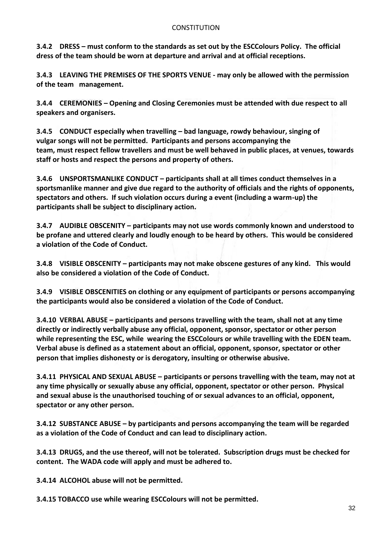**3.4.2 DRESS – must conform to the standards as set out by the ESCColours Policy. The official dress of the team should be worn at departure and arrival and at official receptions.**

**3.4.3 LEAVING THE PREMISES OF THE SPORTS VENUE - may only be allowed with the permission of the team management.** 

**3.4.4 CEREMONIES – Opening and Closing Ceremonies must be attended with due respect to all speakers and organisers.**

**3.4.5 CONDUCT especially when travelling – bad language, rowdy behaviour, singing of vulgar songs will not be permitted. Participants and persons accompanying the team, must respect fellow travellers and must be well behaved in public places, at venues, towards staff or hosts and respect the persons and property of others.**

**3.4.6 UNSPORTSMANLIKE CONDUCT – participants shall at all times conduct themselves in a sportsmanlike manner and give due regard to the authority of officials and the rights of opponents, spectators and others. If such violation occurs during a event (including a warm-up) the participants shall be subject to disciplinary action.**

**3.4.7 AUDIBLE OBSCENITY – participants may not use words commonly known and understood to be profane and uttered clearly and loudly enough to be heard by others. This would be considered a violation of the Code of Conduct.**

**3.4.8 VISIBLE OBSCENITY – participants may not make obscene gestures of any kind. This would also be considered a violation of the Code of Conduct.**

**3.4.9 VISIBLE OBSCENITIES on clothing or any equipment of participants or persons accompanying the participants would also be considered a violation of the Code of Conduct.**

**3.4.10 VERBAL ABUSE – participants and persons travelling with the team, shall not at any time directly or indirectly verbally abuse any official, opponent, sponsor, spectator or other person while representing the ESC, while wearing the ESCColours or while travelling with the EDEN team. Verbal abuse is defined as a statement about an official, opponent, sponsor, spectator or other person that implies dishonesty or is derogatory, insulting or otherwise abusive.** 

**3.4.11 PHYSICAL AND SEXUAL ABUSE – participants or persons travelling with the team, may not at any time physically or sexually abuse any official, opponent, spectator or other person. Physical and sexual abuse is the unauthorised touching of or sexual advances to an official, opponent, spectator or any other person.**

**3.4.12 SUBSTANCE ABUSE – by participants and persons accompanying the team will be regarded as a violation of the Code of Conduct and can lead to disciplinary action.**

**3.4.13 DRUGS, and the use thereof, will not be tolerated. Subscription drugs must be checked for content. The WADA code will apply and must be adhered to.** 

**3.4.14 ALCOHOL abuse will not be permitted.**

**3.4.15 TOBACCO use while wearing ESCColours will not be permitted.**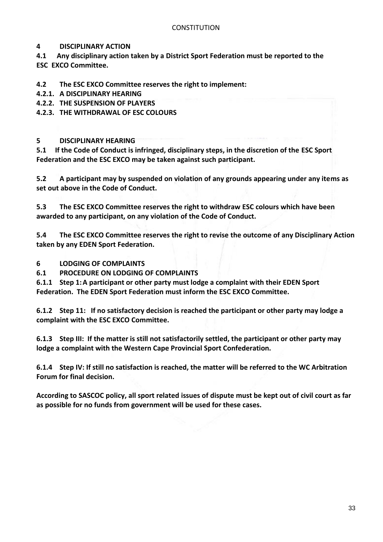# **4 DISCIPLINARY ACTION**

**4.1 Any disciplinary action taken by a District Sport Federation must be reported to the ESC EXCO Committee.**

**4.2 The ESC EXCO Committee reserves the right to implement:**

- **4.2.1. A DISCIPLINARY HEARING**
- **4.2.2. THE SUSPENSION OF PLAYERS**

**4.2.3. THE WITHDRAWAL OF ESC COLOURS** 

# **5 DISCIPLINARY HEARING**

**5.1 If the Code of Conduct is infringed, disciplinary steps, in the discretion of the ESC Sport Federation and the ESC EXCO may be taken against such participant.** 

**5.2 A participant may by suspended on violation of any grounds appearing under any items as set out above in the Code of Conduct.**

**5.3 The ESC EXCO Committee reserves the right to withdraw ESC colours which have been awarded to any participant, on any violation of the Code of Conduct.**

**5.4 The ESC EXCO Committee reserves the right to revise the outcome of any Disciplinary Action taken by any EDEN Sport Federation.**

**6 LODGING OF COMPLAINTS**

**6.1 PROCEDURE ON LODGING OF COMPLAINTS**

**6.1.1 Step 1:A participant or other party must lodge a complaint with their EDEN Sport Federation. The EDEN Sport Federation must inform the ESC EXCO Committee.**

**6.1.2 Step 11: If no satisfactory decision is reached the participant or other party may lodge a complaint with the ESC EXCO Committee.**

**6.1.3 Step III: If the matter is still not satisfactorily settled, the participant or other party may lodge a complaint with the Western Cape Provincial Sport Confederation.**

**6.1.4 Step IV: If still no satisfaction is reached, the matter will be referred to the WC Arbitration Forum for final decision.**

**According to SASCOC policy, all sport related issues of dispute must be kept out of civil court as far as possible for no funds from government will be used for these cases.**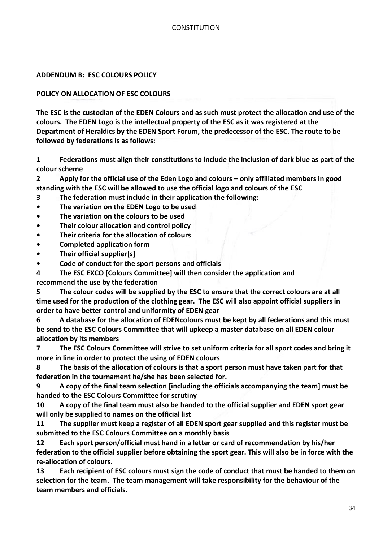#### **ADDENDUM B: ESC COLOURS POLICY**

#### **POLICY ON ALLOCATION OF ESC COLOURS**

**The ESC is the custodian of the EDEN Colours and as such must protect the allocation and use of the colours. The EDEN Logo is the intellectual property of the ESC as it was registered at the Department of Heraldics by the EDEN Sport Forum, the predecessor of the ESC. The route to be followed by federations is as follows:**

**1 Federations must align their constitutions to include the inclusion of dark blue as part of the colour scheme**

**2 Apply for the official use of the Eden Logo and colours – only affiliated members in good standing with the ESC will be allowed to use the official logo and colours of the ESC**

**3 The federation must include in their application the following:**

- **• The variation on the EDEN Logo to be used**
- **• The variation on the colours to be used**
- **• Their colour allocation and control policy**
- **• Their criteria for the allocation of colours**
- **• Completed application form**
- **• Their official supplier[s]**
- **• Code of conduct for the sport persons and officials**

**4 The ESC EXCO [Colours Committee] will then consider the application and recommend the use by the federation**

**5 The colour codes will be supplied by the ESC to ensure that the correct colours are at all time used for the production of the clothing gear. The ESC will also appoint official suppliers in order to have better control and uniformity of EDEN gear**

**6 A database for the allocation of EDENcolours must be kept by all federations and this must be send to the ESC Colours Committee that will upkeep a master database on all EDEN colour allocation by its members** 

**7 The ESC Colours Committee will strive to set uniform criteria for all sport codes and bring it more in line in order to protect the using of EDEN colours**

**8 The basis of the allocation of colours is that a sport person must have taken part for that federation in the tournament he/she has been selected for.** 

**9 A copy of the final team selection [including the officials accompanying the team] must be handed to the ESC Colours Committee for scrutiny**

**10 A copy of the final team must also be handed to the official supplier and EDEN sport gear will only be supplied to names on the official list**

**11 The supplier must keep a register of all EDEN sport gear supplied and this register must be submitted to the ESC Colours Committee on a monthly basis**

**12 Each sport person/official must hand in a letter or card of recommendation by his/her federation to the official supplier before obtaining the sport gear. This will also be in force with the re-allocation of colours.**

**13 Each recipient of ESC colours must sign the code of conduct that must be handed to them on selection for the team. The team management will take responsibility for the behaviour of the team members and officials.**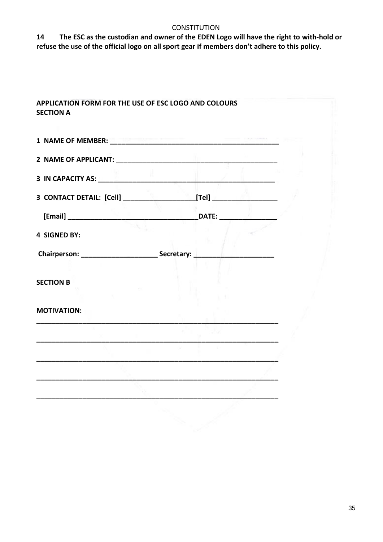**14 The ESC as the custodian and owner of the EDEN Logo will have the right to with-hold or refuse the use of the official logo on all sport gear if members don't adhere to this policy.**

| 1 NAME OF MEMBER: New York Street, New York Street, New York Street, New York Street, New York Street, New York |  |
|-----------------------------------------------------------------------------------------------------------------|--|
|                                                                                                                 |  |
| 3 IN CAPACITY AS: <b>A PARTICIPAL CAPACITY AS:</b>                                                              |  |
|                                                                                                                 |  |
|                                                                                                                 |  |
| <b>4 SIGNED BY:</b>                                                                                             |  |
|                                                                                                                 |  |
|                                                                                                                 |  |
| <b>SECTION B</b>                                                                                                |  |
| <b>MOTIVATION:</b>                                                                                              |  |
|                                                                                                                 |  |
|                                                                                                                 |  |
|                                                                                                                 |  |
|                                                                                                                 |  |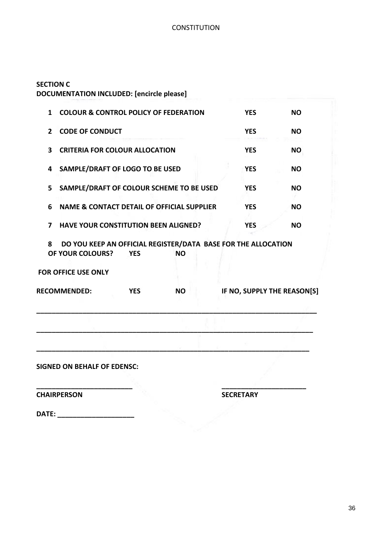# **SECTION C DOCUMENTATION INCLUDED: [encircle please]**

| $\mathbf{1}$                                                                                                      | <b>COLOUR &amp; CONTROL POLICY OF FEDERATION</b>      |           |                             | <b>YES</b> | <b>NO</b> |
|-------------------------------------------------------------------------------------------------------------------|-------------------------------------------------------|-----------|-----------------------------|------------|-----------|
| $\overline{2}$                                                                                                    | <b>CODE OF CONDUCT</b>                                |           |                             | <b>YES</b> | <b>NO</b> |
| 3                                                                                                                 | <b>CRITERIA FOR COLOUR ALLOCATION</b>                 |           |                             | <b>YES</b> | <b>NO</b> |
| 4                                                                                                                 | SAMPLE/DRAFT OF LOGO TO BE USED                       |           |                             | <b>YES</b> | <b>NO</b> |
| 5                                                                                                                 | SAMPLE/DRAFT OF COLOUR SCHEME TO BE USED              |           |                             | <b>YES</b> | <b>NO</b> |
| 6                                                                                                                 | <b>NAME &amp; CONTACT DETAIL OF OFFICIAL SUPPLIER</b> |           |                             | <b>YES</b> | <b>NO</b> |
| 7                                                                                                                 | <b>HAVE YOUR CONSTITUTION BEEN ALIGNED?</b>           |           |                             | <b>YES</b> | <b>NO</b> |
| DO YOU KEEP AN OFFICIAL REGISTER/DATA BASE FOR THE ALLOCATION<br>8<br>OF YOUR COLOURS?<br><b>YES</b><br><b>NO</b> |                                                       |           |                             |            |           |
|                                                                                                                   | <b>FOR OFFICE USE ONLY</b>                            |           |                             |            |           |
| <b>RECOMMENDED:</b><br><b>YES</b>                                                                                 |                                                       | <b>NO</b> | IF NO, SUPPLY THE REASON[S] |            |           |
|                                                                                                                   |                                                       |           |                             |            |           |
|                                                                                                                   |                                                       |           |                             |            |           |
| <b>SIGNED ON BEHALF OF EDENSC:</b>                                                                                |                                                       |           |                             |            |           |
|                                                                                                                   |                                                       |           |                             |            |           |

**CHAIRPERSON SECRETARY**

**DATE: \_\_\_\_\_\_\_\_\_\_\_\_\_\_\_\_\_\_\_\_**